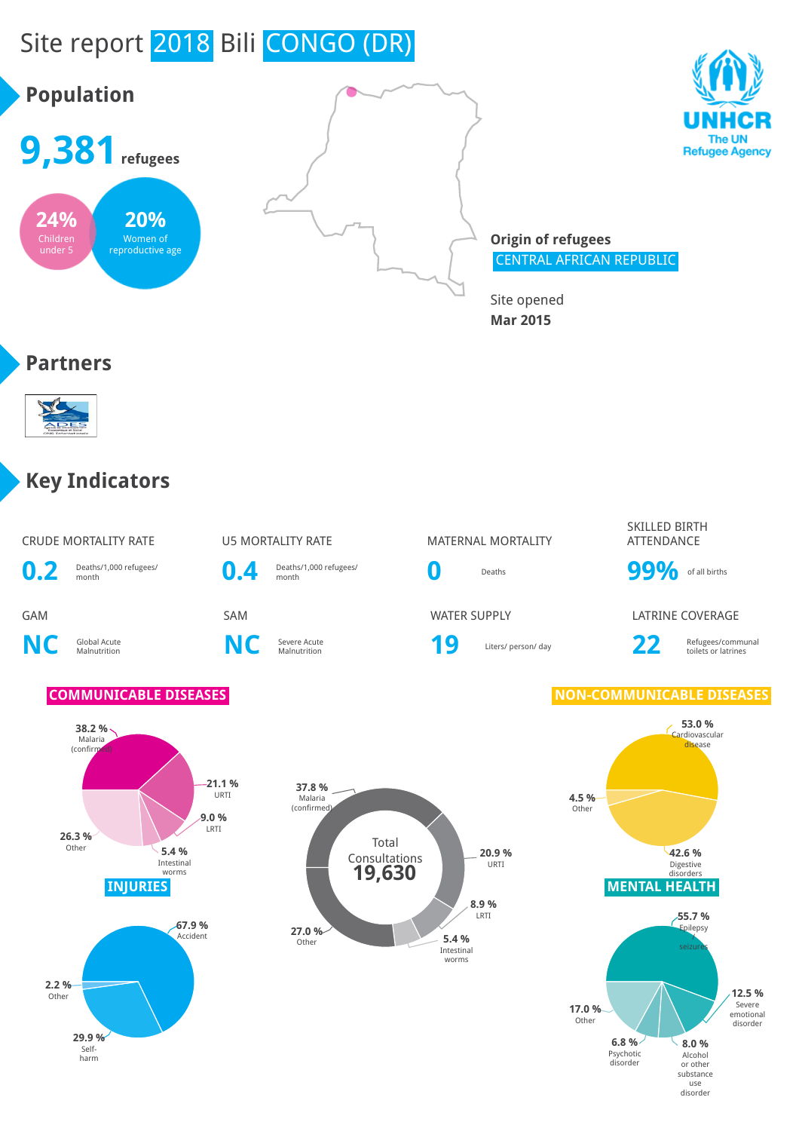## Site report 2018 Bili CONGO (DR)





**Origin of refugees** CENTRAL AFRICAN REPUBLIC

Site opened **Mar 2015**

#### **Partners**



#### **Key Indicators**

CRUDE MORTALITY RATE **U5 MORTALITY RATE** MATERNAL MORTALITY

**0.2** Deaths/1,000 refugees/ month **0.4** Deaths/1,000 refugees/

**NC** Global Acute

**C** Severe Acute<br>Malnutrition **NC** Severe Acute

# Deaths/1,000 refugees/<br>month **0** Deaths **99%** of all births

Severe Acute **19** Liters/ person/ day **22** Refugees/communal collection and the US Liters/ person/ day

SKILLED BIRTH ATTENDANCE

GAM SAM WATER SUPPLY LATRINE COVERAGE

toilets or latrines





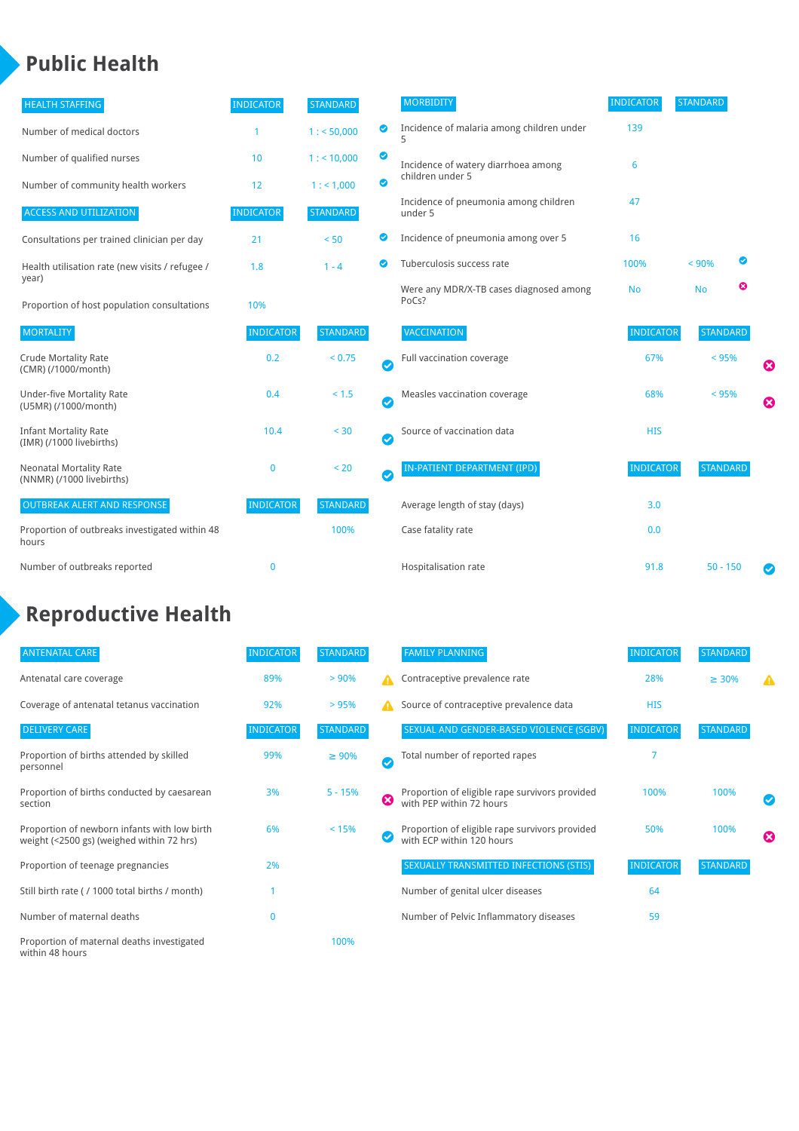#### **Public Health**

| <b>HEALTH STAFFING</b>                                      | <b>INDICATOR</b> | <b>STANDARD</b> |           | <b>MORBIDITY</b>                                 | <b>INDICATOR</b> | <b>STANDARD</b> |   |                       |
|-------------------------------------------------------------|------------------|-----------------|-----------|--------------------------------------------------|------------------|-----------------|---|-----------------------|
| Number of medical doctors                                   |                  | 1: 50,000       | ◉         | Incidence of malaria among children under<br>5   | 139              |                 |   |                       |
| Number of qualified nurses                                  | 10               | $1:$ < 10,000   | ◕         | Incidence of watery diarrhoea among              | 6                |                 |   |                       |
| Number of community health workers                          | 12               | 1: 1,000        | ◙         | children under 5                                 |                  |                 |   |                       |
| <b>ACCESS AND UTILIZATION</b>                               | <b>INDICATOR</b> | <b>STANDARD</b> |           | Incidence of pneumonia among children<br>under 5 | 47               |                 |   |                       |
| Consultations per trained clinician per day                 | 21               | < 50            | Ø         | Incidence of pneumonia among over 5              | 16               |                 |   |                       |
| Health utilisation rate (new visits / refugee /<br>year)    | 1.8              | $1 - 4$         |           | Tuberculosis success rate                        | 100%             | < 90%           | ☑ |                       |
| Proportion of host population consultations                 | 10%              |                 |           | Were any MDR/X-TB cases diagnosed among<br>PoCs? | <b>No</b>        | <b>No</b>       | ఴ |                       |
| <b>MORTALITY</b>                                            | <b>INDICATOR</b> | <b>STANDARD</b> |           | VACCINATION                                      | <b>INDICATOR</b> | <b>STANDARD</b> |   |                       |
| <b>Crude Mortality Rate</b><br>(CMR) (/1000/month)          | 0.2              | < 0.75          | $\bullet$ | Full vaccination coverage                        | 67%              | < 95%           |   | Ø                     |
| <b>Under-five Mortality Rate</b><br>(U5MR) (/1000/month)    | 0.4              | $< 1.5$         | Ø         | Measles vaccination coverage                     | 68%              | < 95%           |   | $\boldsymbol{\Omega}$ |
| <b>Infant Mortality Rate</b><br>(IMR) (/1000 livebirths)    | 10.4             | < 30            | $\bullet$ | Source of vaccination data                       | <b>HIS</b>       |                 |   |                       |
| <b>Neonatal Mortality Rate</b><br>(NNMR) (/1000 livebirths) | $\mathbf 0$      | < 20            | Ø         | <b>IN-PATIENT DEPARTMENT (IPD)</b>               | <b>INDICATOR</b> | <b>STANDARD</b> |   |                       |
| <b>OUTBREAK ALERT AND RESPONSE</b>                          | <b>INDICATOR</b> | <b>STANDARD</b> |           | Average length of stay (days)                    | 3.0              |                 |   |                       |
| Proportion of outbreaks investigated within 48<br>hours     |                  | 100%            |           | Case fatality rate                               | 0.0              |                 |   |                       |
| Number of outbreaks reported                                | $\mathbf{0}$     |                 |           | Hospitalisation rate                             | 91.8             | $50 - 150$      |   |                       |

### **Reproductive Health**

| <b>ANTENATAL CARE</b>                                                                     | <b>INDICATOR</b> | <b>STANDARD</b> |   | <b>FAMILY PLANNING</b>                                                      | <b>INDICATOR</b> | <b>STANDARD</b> |                          |
|-------------------------------------------------------------------------------------------|------------------|-----------------|---|-----------------------------------------------------------------------------|------------------|-----------------|--------------------------|
| Antenatal care coverage                                                                   | 89%              | > 90%           |   | Contraceptive prevalence rate                                               | 28%              | $\geq 30\%$     |                          |
| Coverage of antenatal tetanus vaccination                                                 | 92%              | >95%            | А | Source of contraceptive prevalence data                                     | <b>HIS</b>       |                 |                          |
| <b>DELIVERY CARE</b>                                                                      | <b>INDICATOR</b> | <b>STANDARD</b> |   | SEXUAL AND GENDER-BASED VIOLENCE (SGBV)                                     | <b>INDICATOR</b> | <b>STANDARD</b> |                          |
| Proportion of births attended by skilled<br>personnel                                     | 99%              | $\geq 90\%$     | ✓ | Total number of reported rapes                                              |                  |                 |                          |
| Proportion of births conducted by caesarean<br>section                                    | 3%               | $5 - 15%$       | Ø | Proportion of eligible rape survivors provided<br>with PEP within 72 hours  | 100%             | 100%            | $\overline{\mathcal{C}}$ |
| Proportion of newborn infants with low birth<br>weight (<2500 gs) (weighed within 72 hrs) | 6%               | < 15%           |   | Proportion of eligible rape survivors provided<br>with ECP within 120 hours | 50%              | 100%            | ☎                        |
| Proportion of teenage pregnancies                                                         | 2%               |                 |   | SEXUALLY TRANSMITTED INFECTIONS (STIS)                                      | <b>INDICATOR</b> | <b>STANDARD</b> |                          |
| Still birth rate (/ 1000 total births / month)                                            |                  |                 |   | Number of genital ulcer diseases                                            | 64               |                 |                          |
| Number of maternal deaths                                                                 | 0                |                 |   | Number of Pelvic Inflammatory diseases                                      | 59               |                 |                          |
| Proportion of maternal deaths investigated<br>within 48 hours                             |                  | 100%            |   |                                                                             |                  |                 |                          |